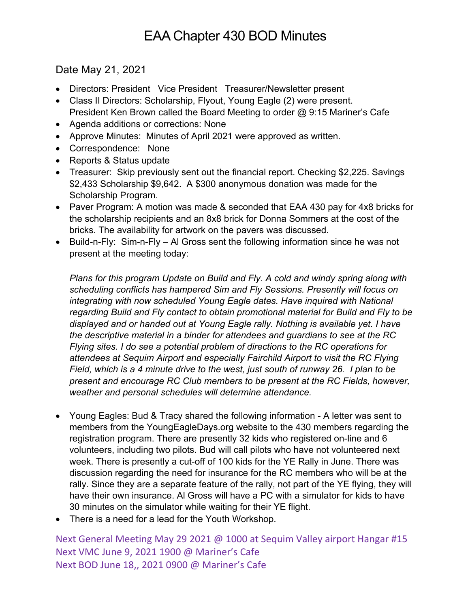## EAA Chapter 430 BOD Minutes

Date May 21, 2021

- Directors: President Vice President Treasurer/Newsletter present
- Class II Directors: Scholarship, Flyout, Young Eagle (2) were present. President Ken Brown called the Board Meeting to order @ 9:15 Mariner's Cafe
- Agenda additions or corrections: None
- Approve Minutes: Minutes of April 2021 were approved as written.
- Correspondence: None
- Reports & Status update
- Treasurer: Skip previously sent out the financial report. Checking \$2,225. Savings \$2,433 Scholarship \$9,642. A \$300 anonymous donation was made for the Scholarship Program.
- Paver Program: A motion was made & seconded that EAA 430 pay for 4x8 bricks for the scholarship recipients and an 8x8 brick for Donna Sommers at the cost of the bricks. The availability for artwork on the pavers was discussed.
- Build-n-Fly: Sim-n-Fly Al Gross sent the following information since he was not present at the meeting today:

*Plans for this program Update on Build and Fly. A cold and windy spring along with scheduling conflicts has hampered Sim and Fly Sessions. Presently will focus on integrating with now scheduled Young Eagle dates. Have inquired with National regarding Build and Fly contact to obtain promotional material for Build and Fly to be displayed and or handed out at Young Eagle rally. Nothing is available yet. I have the descriptive material in a binder for attendees and guardians to see at the RC Flying sites. I do see a potential problem of directions to the RC operations for attendees at Sequim Airport and especially Fairchild Airport to visit the RC Flying Field, which is a 4 minute drive to the west, just south of runway 26. I plan to be present and encourage RC Club members to be present at the RC Fields, however, weather and personal schedules will determine attendance.*

- Young Eagles: Bud & Tracy shared the following information A letter was sent to members from the YoungEagleDays.org website to the 430 members regarding the registration program. There are presently 32 kids who registered on-line and 6 volunteers, including two pilots. Bud will call pilots who have not volunteered next week. There is presently a cut-off of 100 kids for the YE Rally in June. There was discussion regarding the need for insurance for the RC members who will be at the rally. Since they are a separate feature of the rally, not part of the YE flying, they will have their own insurance. Al Gross will have a PC with a simulator for kids to have 30 minutes on the simulator while waiting for their YE flight.
- There is a need for a lead for the Youth Workshop.

Next General Meeting May 29 2021 @ 1000 at Sequim Valley airport Hangar #15 Next VMC June 9, 2021 1900 @ Mariner's Cafe Next BOD June 18,, 2021 0900 @ Mariner's Cafe